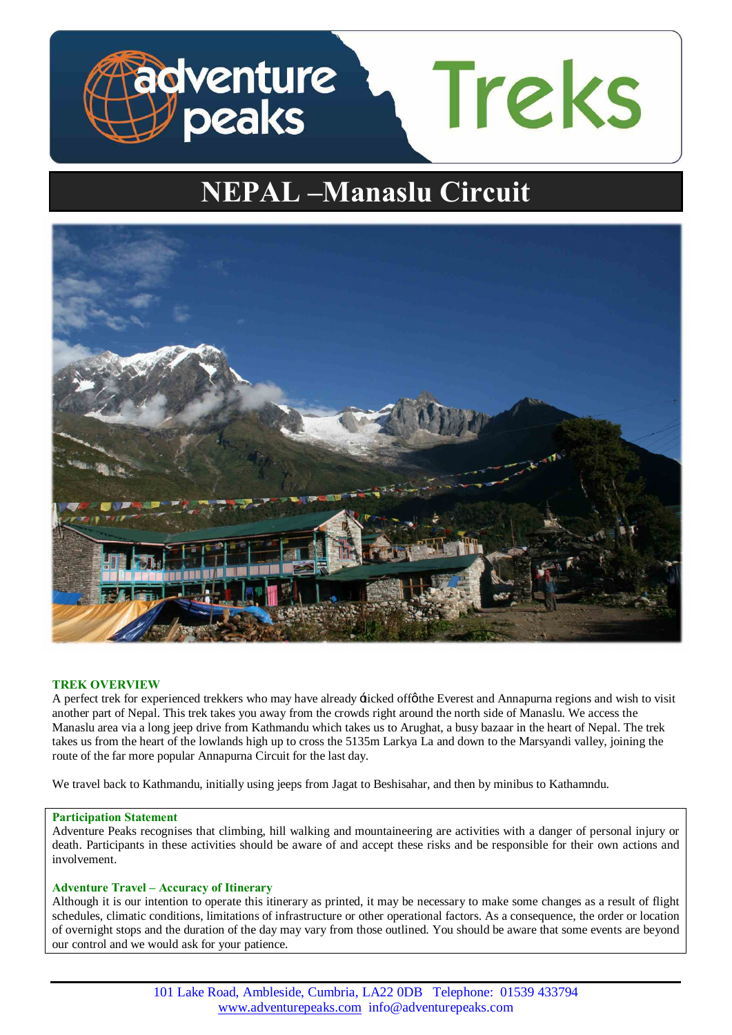

# **NEPAL –Manaslu Circuit**



# **TREK OVERVIEW**

A perfect trek for experienced trekkers who may have already +ticked offøthe Everest and Annapurna regions and wish to visit another part of Nepal. This trek takes you away from the crowds right around the north side of Manaslu. We access the Manaslu area via a long jeep drive from Kathmandu which takes us to Arughat, a busy bazaar in the heart of Nepal. The trek takes us from the heart of the lowlands high up to cross the 5135m Larkya La and down to the Marsyandi valley, joining the route of the far more popular Annapurna Circuit for the last day.

We travel back to Kathmandu, initially using jeeps from Jagat to Beshisahar, and then by minibus to Kathamndu.

# **Participation Statement**

Adventure Peaks recognises that climbing, hill walking and mountaineering are activities with a danger of personal injury or death. Participants in these activities should be aware of and accept these risks and be responsible for their own actions and involvement.

# **Adventure Travel – Accuracy of Itinerary**

Although it is our intention to operate this itinerary as printed, it may be necessary to make some changes as a result of flight schedules, climatic conditions, limitations of infrastructure or other operational factors. As a consequence, the order or location of overnight stops and the duration of the day may vary from those outlined. You should be aware that some events are beyond our control and we would ask for your patience.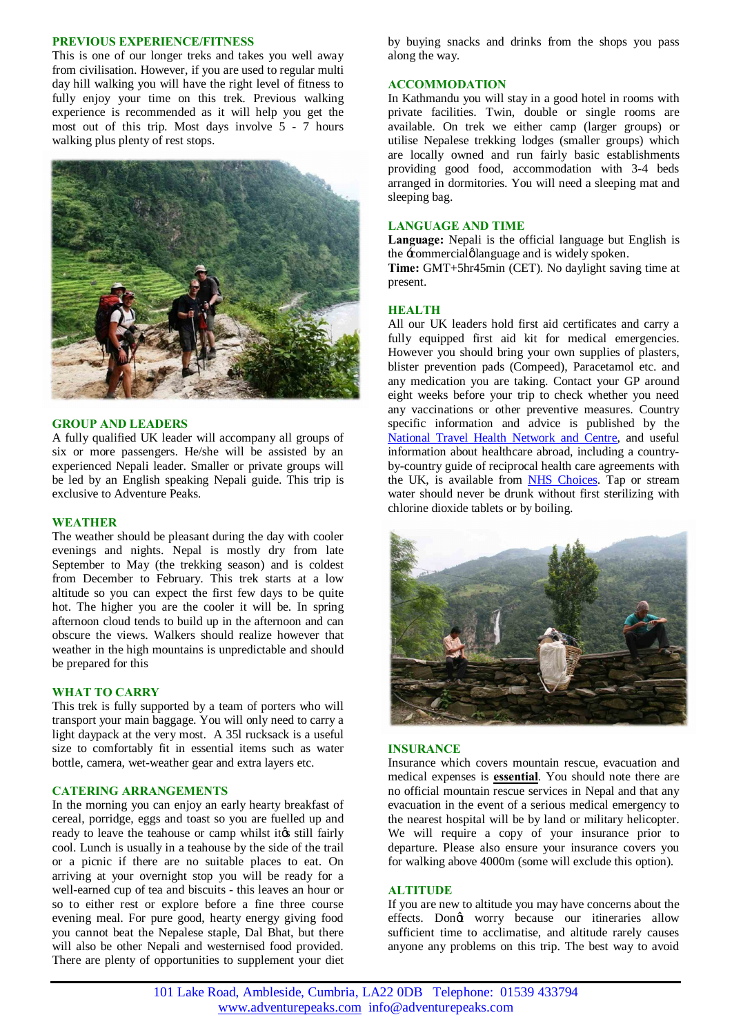### **PREVIOUS EXPERIENCE/FITNESS**

This is one of our longer treks and takes you well away from civilisation. However, if you are used to regular multi day hill walking you will have the right level of fitness to fully enjoy your time on this trek. Previous walking experience is recommended as it will help you get the most out of this trip. Most days involve 5 - 7 hours walking plus plenty of rest stops.



## **GROUP AND LEADERS**

A fully qualified UK leader will accompany all groups of six or more passengers. He/she will be assisted by an experienced Nepali leader. Smaller or private groups will be led by an English speaking Nepali guide. This trip is exclusive to Adventure Peaks.

### **WEATHER**

The weather should be pleasant during the day with cooler evenings and nights. Nepal is mostly dry from late September to May (the trekking season) and is coldest from December to February. This trek starts at a low altitude so you can expect the first few days to be quite hot. The higher you are the cooler it will be. In spring afternoon cloud tends to build up in the afternoon and can obscure the views. Walkers should realize however that weather in the high mountains is unpredictable and should be prepared for this

# **WHAT TO CARRY**

This trek is fully supported by a team of porters who will transport your main baggage. You will only need to carry a light daypack at the very most. A 35l rucksack is a useful size to comfortably fit in essential items such as water bottle, camera, wet-weather gear and extra layers etc.

## **CATERING ARRANGEMENTS**

In the morning you can enjoy an early hearty breakfast of cereal, porridge, eggs and toast so you are fuelled up and ready to leave the teahouse or camp whilst its still fairly cool. Lunch is usually in a teahouse by the side of the trail or a picnic if there are no suitable places to eat. On arriving at your overnight stop you will be ready for a well-earned cup of tea and biscuits - this leaves an hour or so to either rest or explore before a fine three course evening meal. For pure good, hearty energy giving food you cannot beat the Nepalese staple, Dal Bhat, but there will also be other Nepali and westernised food provided. There are plenty of opportunities to supplement your diet by buying snacks and drinks from the shops you pass along the way.

## **ACCOMMODATION**

In Kathmandu you will stay in a good hotel in rooms with private facilities. Twin, double or single rooms are available. On trek we either camp (larger groups) or utilise Nepalese trekking lodges (smaller groups) which are locally owned and run fairly basic establishments providing good food, accommodation with 3-4 beds arranged in dormitories. You will need a sleeping mat and sleeping bag.

## **LANGUAGE AND TIME**

**Language:** Nepali is the official language but English is the -commercial olanguage and is widely spoken.

**Time:** GMT+5hr45min (CET). No daylight saving time at present.

## **HEALTH**

All our UK leaders hold first aid certificates and carry a fully equipped first aid kit for medical emergencies. However you should bring your own supplies of plasters, blister prevention pads (Compeed), Paracetamol etc. and any medication you are taking. Contact your GP around eight weeks before your trip to check whether you need any vaccinations or other preventive measures. Country specific information and advice is published by the [National Travel Health Network and Centre](http://www.nathnac.org/ds/map_world.aspx), and useful information about healthcare abroad, including a countryby-country guide of reciprocal health care agreements with the UK, is available from [NHS Choices.](http://www.nhs.uk/NHSEngland/Healthcareabroad/countryguide/NonEEAcountries/Pages/Non-EEAcountries.aspx) Tap or stream water should never be drunk without first sterilizing with chlorine dioxide tablets or by boiling.



## **INSURANCE**

Insurance which covers mountain rescue, evacuation and medical expenses is **essential**. You should note there are no official mountain rescue services in Nepal and that any evacuation in the event of a serious medical emergency to the nearest hospital will be by land or military helicopter. We will require a copy of your insurance prior to departure. Please also ensure your insurance covers you for walking above 4000m (some will exclude this option).

#### **ALTITUDE**

If you are new to altitude you may have concerns about the effects. Dongt worry because our itineraries allow sufficient time to acclimatise, and altitude rarely causes anyone any problems on this trip. The best way to avoid

101 Lake Road, Ambleside, Cumbria, LA22 0DB Telephone: 01539 433794 www.adventurepeaks.com info@adventurepeaks.com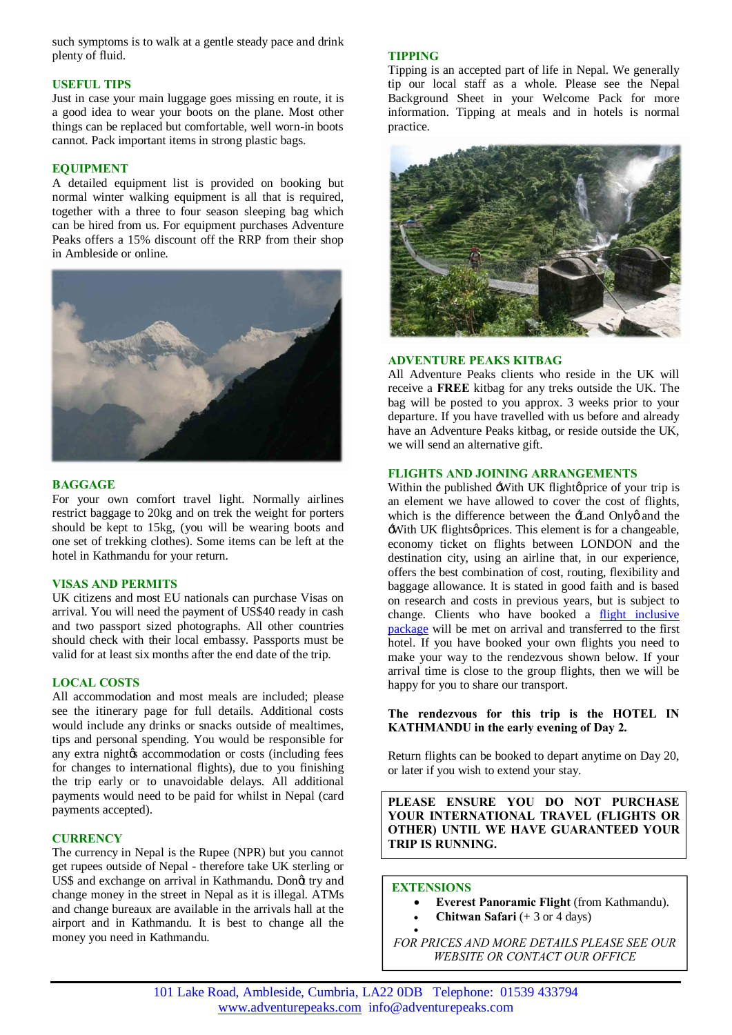such symptoms is to walk at a gentle steady pace and drink plenty of fluid.

# **USEFUL TIPS**

Just in case your main luggage goes missing en route, it is a good idea to wear your boots on the plane. Most other things can be replaced but comfortable, well worn-in boots cannot. Pack important items in strong plastic bags.

# **EQUIPMENT**

A detailed equipment list is provided on booking but normal winter walking equipment is all that is required, together with a three to four season sleeping bag which can be hired from us. For equipment purchases Adventure Peaks offers a 15% discount off the RRP from their shop in Ambleside or online.



# **BAGGAGE**

For your own comfort travel light. Normally airlines restrict baggage to 20kg and on trek the weight for porters should be kept to 15kg, (you will be wearing boots and one set of trekking clothes). Some items can be left at the hotel in Kathmandu for your return.

# **VISAS AND PERMITS**

UK citizens and most EU nationals can purchase Visas on arrival. You will need the payment of US\$40 ready in cash and two passport sized photographs. All other countries should check with their local embassy. Passports must be valid for at least six months after the end date of the trip.

# **LOCAL COSTS**

All accommodation and most meals are included; please see the itinerary page for full details. Additional costs would include any drinks or snacks outside of mealtimes, tips and personal spending. You would be responsible for any extra night $\alpha$  accommodation or costs (including fees for changes to international flights), due to you finishing the trip early or to unavoidable delays. All additional payments would need to be paid for whilst in Nepal (card payments accepted).

# **CURRENCY**

The currency in Nepal is the Rupee (NPR) but you cannot get rupees outside of Nepal - therefore take UK sterling or US\$ and exchange on arrival in Kathmandu. Dongt try and change money in the street in Nepal as it is illegal. ATMs and change bureaux are available in the arrivals hall at the airport and in Kathmandu. It is best to change all the money you need in Kathmandu.

# **TIPPING**

Tipping is an accepted part of life in Nepal. We generally tip our local staff as a whole. Please see the Nepal Background Sheet in your Welcome Pack for more information. Tipping at meals and in hotels is normal practice.



# **ADVENTURE PEAKS KITBAG**

All Adventure Peaks clients who reside in the UK will receive a **FREE** kitbag for any treks outside the UK. The bag will be posted to you approx. 3 weeks prior to your departure. If you have travelled with us before and already have an Adventure Peaks kitbag, or reside outside the UK, we will send an alternative gift.

# **FLIGHTS AND JOINING ARRANGEMENTS**

Within the published -With UK flight  $\phi$  price of your trip is an element we have allowed to cover the cost of flights, which is the difference between the  $\pm$  and Onlyg and the With UK flightsø prices. This element is for a changeable, economy ticket on flights between LONDON and the destination city, using an airline that, in our experience, offers the best combination of cost, routing, flexibility and baggage allowance. It is stated in good faith and is based on research and costs in previous years, but is subject to change. Clients who have booked a [flight inclusive](http://www.adventurepeaks.com/useful-info/flight-inclusive-or-exclusive)  [package](http://www.adventurepeaks.com/useful-info/flight-inclusive-or-exclusive) will be met on arrival and transferred to the first hotel. If you have booked your own flights you need to make your way to the rendezvous shown below. If your arrival time is close to the group flights, then we will be happy for you to share our transport.

# **The rendezvous for this trip is the HOTEL IN KATHMANDU in the early evening of Day 2.**

Return flights can be booked to depart anytime on Day 20, or later if you wish to extend your stay.

**PLEASE ENSURE YOU DO NOT PURCHASE YOUR INTERNATIONAL TRAVEL (FLIGHTS OR OTHER) UNTIL WE HAVE GUARANTEED YOUR TRIP IS RUNNING.**

## **EXTENSIONS**

- · **Everest Panoramic Flight** (from Kathmandu).
- · **Chitwan Safari** (+ 3 or 4 days)

· *FOR PRICES AND MORE DETAILS PLEASE SEE OUR WEBSITE OR CONTACT OUR OFFICE*